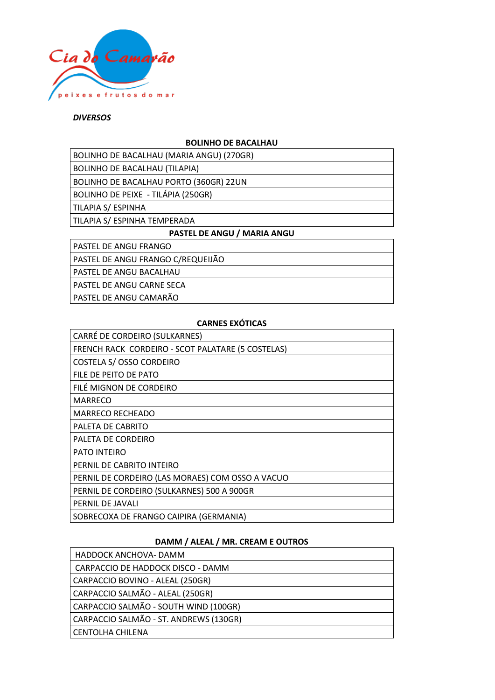

## *DIVERSOS*

## **BOLINHO DE BACALHAU**

| BOLINHO DE BACALHAU (MARIA ANGU) (270GR) |
|------------------------------------------|
|                                          |
|                                          |
|                                          |

BOLINHO DE BACALHAU (TILAPIA)

BOLINHO DE BACALHAU PORTO (360GR) 22UN

BOLINHO DE PEIXE - TILÁPIA (250GR)

TILAPIA S/ ESPINHA

TILAPIA S/ ESPINHA TEMPERADA

#### **PASTEL DE ANGU / MARIA ANGU**

PASTEL DE ANGU FRANGO

PASTEL DE ANGU FRANGO C/REQUEIJÃO

PASTEL DE ANGU BACALHAU

PASTEL DE ANGU CARNE SECA

PASTEL DE ANGU CAMARÃO

#### **CARNES EXÓTICAS**

| CARRÉ DE CORDEIRO (SULKARNES)                     |
|---------------------------------------------------|
| FRENCH RACK CORDEIRO - SCOT PALATARE (5 COSTELAS) |
| <b>COSTELA S/ OSSO CORDEIRO</b>                   |
| FILE DE PEITO DE PATO                             |
| FILE MIGNON DE CORDEIRO                           |
| <b>MARRECO</b>                                    |
| <b>MARRECO RECHEADO</b>                           |
| PALETA DE CABRITO                                 |
| PALETA DE CORDEIRO                                |
| <b>PATO INTEIRO</b>                               |
| PERNIL DE CABRITO INTEIRO                         |
| PERNIL DE CORDEIRO (LAS MORAES) COM OSSO A VACUO  |
| PERNIL DE CORDEIRO (SULKARNES) 500 A 900GR        |
| PERNIL DE JAVALI                                  |
| SOBRECOXA DE FRANGO CAIPIRA (GERMANIA)            |

# **DAMM / ALEAL / MR. CREAM E OUTROS**

| HADDOCK ANCHOVA- DAMM                  |
|----------------------------------------|
| CARPACCIO DE HADDOCK DISCO - DAMM      |
| CARPACCIO BOVINO - ALEAL (250GR)       |
| CARPACCIO SALMÃO - ALEAL (250GR)       |
| CARPACCIO SALMÃO - SOUTH WIND (100GR)  |
| CARPACCIO SALMÃO - ST. ANDREWS (130GR) |
| <b>CENTOLHA CHILENA</b>                |